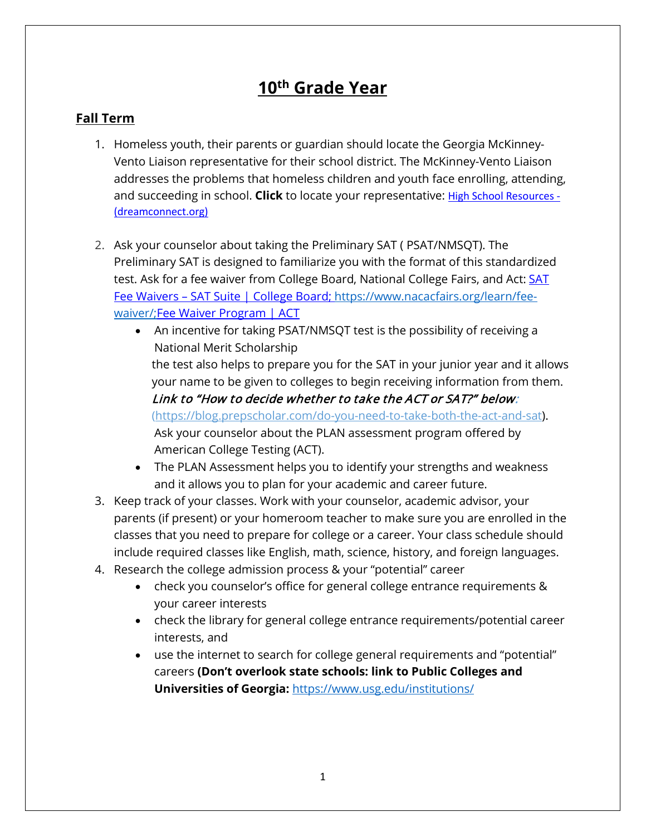## **10th Grade Year**

## **Fall Term**

- 1. Homeless youth, their parents or guardian should locate the Georgia McKinney-Vento Liaison representative for their school district. The McKinney-Vento Liaison addresses the problems that homeless children and youth face enrolling, attending, and succeeding in school. **Click** to locate your representative: [High School Resources -](https://dreamconnect.org/community-resources-directory/high-school-resources/) [\(dreamconnect.org\)](https://dreamconnect.org/community-resources-directory/high-school-resources/)
- 2. Ask your counselor about taking the Preliminary SAT ( PSAT/NMSQT). The Preliminary SAT is designed to familiarize you with the format of this standardized test. Ask for a fee waiver from College Board, National College Fairs, and Act: [SAT](https://satsuite.collegeboard.org/sat/registration/fee-waivers)  Fee Waivers – [SAT Suite | College Board;](https://satsuite.collegeboard.org/sat/registration/fee-waivers) [https://www.nacacfairs.org/learn/fee](https://www.nacacfairs.org/learn/fee-waiver/)[waiver/](https://www.nacacfairs.org/learn/fee-waiver/)[;Fee Waiver Program | ACT](https://www.act.org/content/act/en/products-and-services/the-act/registration/fees/fee-waivers.html)
	- An incentive for taking PSAT/NMSQT test is the possibility of receiving a National Merit Scholarship the test also helps to prepare you for the SAT in your junior year and it allows your name to be given to colleges to begin receiving information from them. Link to "How to decide whether to take the ACT or SAT?" below: [\(https://blog.prepscholar.com/do-you-need-to-take-both-the-act-and-sat\)](https://blog.prepscholar.com/do-you-need-to-take-both-the-act-and-sat). Ask your counselor about the PLAN assessment program offered by American College Testing (ACT).
	- The PLAN Assessment helps you to identify your strengths and weakness and it allows you to plan for your academic and career future.
- 3. Keep track of your classes. Work with your counselor, academic advisor, your parents (if present) or your homeroom teacher to make sure you are enrolled in the classes that you need to prepare for college or a career. Your class schedule should include required classes like English, math, science, history, and foreign languages.
- 4. Research the college admission process & your "potential" career
	- check you counselor's office for general college entrance requirements & your career interests
	- check the library for general college entrance requirements/potential career interests, and
	- use the internet to search for college general requirements and "potential" careers **(Don't overlook state schools: link to Public Colleges and Universities of Georgia:** <https://www.usg.edu/institutions/>